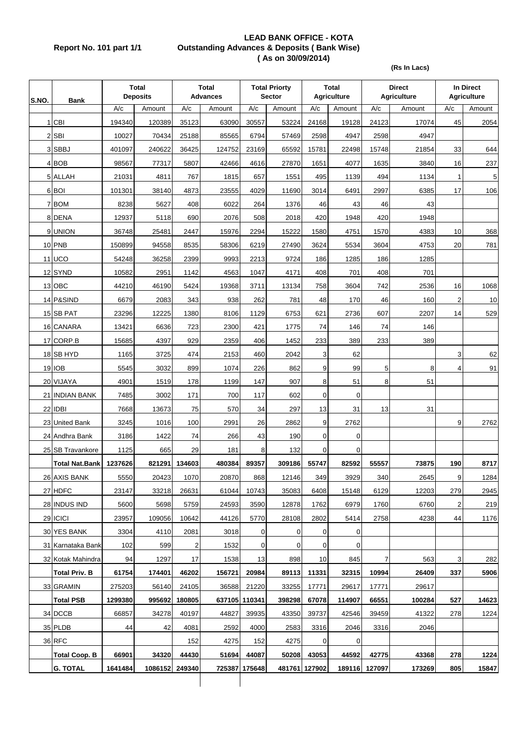## **LEAD BANK OFFICE - KOTA Report No. 101 part 1/1 Outstanding Advances & Deposits ( Bank Wise) ( As on 30/09/2014)**

**(Rs In Lacs)**

| S.NO. | <b>Bank</b>           | <b>Total</b><br><b>Deposits</b> |                | <b>Total</b><br><b>Advances</b> |        | <b>Total Priorty</b><br><b>Sector</b> |        | Total<br><b>Agriculture</b> | <b>Direct</b><br><b>Agriculture</b> |        | In Direct<br><b>Agriculture</b> |                |        |
|-------|-----------------------|---------------------------------|----------------|---------------------------------|--------|---------------------------------------|--------|-----------------------------|-------------------------------------|--------|---------------------------------|----------------|--------|
|       |                       | A/c                             | Amount         | A/c                             | Amount | A/c                                   | Amount | A/c                         | Amount                              | A/c    | Amount                          | A/c            | Amount |
|       | $1$ CBI               | 194340                          | 120389         | 35123                           | 63090  | 30557                                 | 53224  | 24168                       | 19128                               | 24123  | 17074                           | 45             | 2054   |
|       | 2 SBI                 | 10027                           | 70434          | 25188                           | 85565  | 6794                                  | 57469  | 2598                        | 4947                                | 2598   | 4947                            |                |        |
|       | 3 SBBJ                | 401097                          | 240622         | 36425                           | 124752 | 23169                                 | 65592  | 15781                       | 22498                               | 15748  | 21854                           | 33             | 644    |
|       | 4 BOB                 | 98567                           | 77317          | 5807                            | 42466  | 4616                                  | 27870  | 1651                        | 4077                                | 1635   | 3840                            | 16             | 237    |
|       | 5 ALLAH               | 21031                           | 4811           | 767                             | 1815   | 657                                   | 1551   | 495                         | 1139                                | 494    | 1134                            | 1              | 5      |
|       | 6 BOI                 | 101301                          | 38140          | 4873                            | 23555  | 4029                                  | 11690  | 3014                        | 6491                                | 2997   | 6385                            | 17             | 106    |
|       | 7 BOM                 | 8238                            | 5627           | 408                             | 6022   | 264                                   | 1376   | 46                          | 43                                  | 46     | 43                              |                |        |
|       | 8 DENA                | 12937                           | 5118           | 690                             | 2076   | 508                                   | 2018   | 420                         | 1948                                | 420    | 1948                            |                |        |
|       | 9 UNION               | 36748                           | 25481          | 2447                            | 15976  | 2294                                  | 15222  | 1580                        | 4751                                | 1570   | 4383                            | 10             | 368    |
|       | 10 PNB                | 150899                          | 94558          | 8535                            | 58306  | 6219                                  | 27490  | 3624                        | 5534                                | 3604   | 4753                            | 20             | 781    |
|       | 11 UCO                | 54248                           | 36258          | 2399                            | 9993   | 2213                                  | 9724   | 186                         | 1285                                | 186    | 1285                            |                |        |
|       | 12SYND                | 10582                           | 2951           | 1142                            | 4563   | 1047                                  | 4171   | 408                         | 701                                 | 408    | 701                             |                |        |
|       | 13 OBC                | 44210                           | 46190          | 5424                            | 19368  | 3711                                  | 13134  | 758                         | 3604                                | 742    | 2536                            | 16             | 1068   |
|       | 14 P&SIND             | 6679                            | 2083           | 343                             | 938    | 262                                   | 781    | 48                          | 170                                 | 46     | 160                             | $\overline{2}$ | 10     |
|       | 15 SB PAT             | 23296                           | 12225          | 1380                            | 8106   | 1129                                  | 6753   | 621                         | 2736                                | 607    | 2207                            | 14             | 529    |
|       | 16 CANARA             | 13421                           | 6636           | 723                             | 2300   | 421                                   | 1775   | 74                          | 146                                 | 74     | 146                             |                |        |
|       | 17 CORP.B             | 15685                           | 4397           | 929                             | 2359   | 406                                   | 1452   | 233                         | 389                                 | 233    | 389                             |                |        |
|       | 18 SB HYD             | 1165                            | 3725           | 474                             | 2153   | 460                                   | 2042   | 3                           | 62                                  |        |                                 | 3              | 62     |
|       | <b>19 IOB</b>         | 5545                            | 3032           | 899                             | 1074   | 226                                   | 862    | 9                           | 99                                  | 5      | 8                               | 4              | 91     |
|       | 20 VIJAYA             | 4901                            | 1519           | 178                             | 1199   | 147                                   | 907    | 8                           | 51                                  | 8      | 51                              |                |        |
|       | 21 INDIAN BANK        | 7485                            | 3002           | 171                             | 700    | 117                                   | 602    | 0                           | 0                                   |        |                                 |                |        |
|       | 22 IDBI               | 7668                            | 13673          | 75                              | 570    | 34                                    | 297    | 13                          | 31                                  | 13     | 31                              |                |        |
|       | 23 United Bank        | 3245                            | 1016           | 100                             | 2991   | 26                                    | 2862   | 9                           | 2762                                |        |                                 | 9              | 2762   |
|       | 24 Andhra Bank        | 3186                            | 1422           | 74                              | 266    | 43                                    | 190    | 0                           | 0                                   |        |                                 |                |        |
|       | 25 SB Travankore      | 1125                            | 665            | 29                              | 181    | 8                                     | 132    | 0                           | 0                                   |        |                                 |                |        |
|       | <b>Total Nat Bank</b> | 1237626                         | 821291         | 134603                          | 480384 | 89357                                 | 309186 | 55747                       | 82592                               | 55557  | 73875                           | 190            | 8717   |
|       | 26 AXIS BANK          | 5550                            | 20423          | 1070                            | 20870  | 868                                   | 12146  | 349                         | 3929                                | 340    | 2645                            | $\overline{9}$ | 1284   |
|       | 27 HDFC               | 23147                           | 33218          | 26631                           | 61044  | 10743                                 | 35083  | 6408                        | 15148                               | 6129   | 12203                           | 279            | 2945   |
|       | 28 INDUS IND          | 5600                            | 5698           | 5759                            | 24593  | 3590                                  | 12878  | 1762                        | 6979                                | 1760   | 6760                            | 2              | 219    |
|       | 29 ICICI              | 23957                           | 109056         | 10642                           | 44126  | 5770                                  | 28108  | 2802                        | 5414                                | 2758   | 4238                            | 44             | 1176   |
|       | 30 YES BANK           | 3304                            | 4110           | 2081                            | 3018   | 0                                     | 0      | 0                           | $\mathbf 0$                         |        |                                 |                |        |
|       | 31 Karnataka Bank     | 102                             | 599            | $\overline{2}$                  | 1532   | 0                                     | 0      | 0                           | $\mathbf 0$                         |        |                                 |                |        |
|       | 32 Kotak Mahindra     | 94                              | 1297           | 17                              | 1538   | 13                                    | 898    | 10                          | 845                                 | 7      | 563                             | 3              | 282    |
|       | <b>Total Priv. B</b>  | 61754                           | 174401         | 46202                           | 156721 | 20984                                 | 89113  | 11331                       | 32315                               | 10994  | 26409                           | 337            | 5906   |
|       | 33 GRAMIN             | 275203                          | 56140          | 24105                           | 36588  | 21220                                 | 33255  | 17771                       | 29617                               | 17771  | 29617                           |                |        |
|       | <b>Total PSB</b>      | 1299380                         | 995692         | 180805                          |        | 637105 110341                         | 398298 | 67078                       | 114907                              | 66551  | 100284                          | 527            | 14623  |
|       | 34 DCCB               | 66857                           | 34278          | 40197                           | 44827  | 39935                                 | 43350  | 39737                       | 42546                               | 39459  | 41322                           | 278            | 1224   |
|       | 35 PLDB               | 44                              | 42             | 4081                            | 2592   | 4000                                  | 2583   | 3316                        | 2046                                | 3316   | 2046                            |                |        |
|       | 36 RFC                |                                 |                | 152                             | 4275   | 152                                   | 4275   | 0                           | $\boldsymbol{0}$                    |        |                                 |                |        |
|       | <b>Total Coop. B</b>  | 66901                           | 34320          | 44430                           | 51694  | 44087                                 | 50208  | 43053                       | 44592                               | 42775  | 43368                           | 278            | 1224   |
|       | <b>G. TOTAL</b>       | 1641484                         | 1086152 249340 |                                 | 725387 | 175648                                |        | 481761 127902               | 189116                              | 127097 | 173269                          | 805            | 15847  |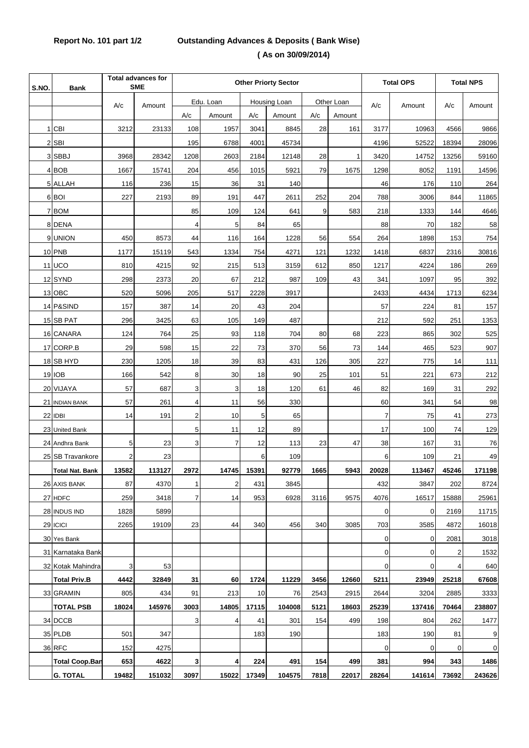## **Report No. 101 part 1/2 Outstanding Advances & Deposits ( Bank Wise) ( As on 30/09/2014)**

| S.NO. | <b>Bank</b>            | <b>Total advances for</b><br><b>SME</b> |        | <b>Other Priorty Sector</b> |                |              |        |            |        | <b>Total OPS</b> |        | <b>Total NPS</b> |        |
|-------|------------------------|-----------------------------------------|--------|-----------------------------|----------------|--------------|--------|------------|--------|------------------|--------|------------------|--------|
|       |                        | A/c                                     | Amount | Edu. Loan                   |                | Housing Loan |        | Other Loan |        | A/c              | Amount | A/c              | Amount |
|       |                        |                                         |        | A/c                         | Amount         | A/c          | Amount | A/c        | Amount |                  |        |                  |        |
|       | 1 CBI                  | 3212                                    | 23133  | 108                         | 1957           | 3041         | 8845   | 28         | 161    | 3177             | 10963  | 4566             | 9866   |
|       | 2 SBI                  |                                         |        | 195                         | 6788           | 4001         | 45734  |            |        | 4196             | 52522  | 18394            | 28096  |
|       | 3 SBBJ                 | 3968                                    | 28342  | 1208                        | 2603           | 2184         | 12148  | 28         | 1      | 3420             | 14752  | 13256            | 59160  |
|       | 4 BOB                  | 1667                                    | 15741  | 204                         | 456            | 1015         | 5921   | 79         | 1675   | 1298             | 8052   | 1191             | 14596  |
|       | 5 ALLAH                | 116                                     | 236    | 15                          | 36             | 31           | 140    |            |        | 46               | 176    | 110              | 264    |
|       | 6 BOI                  | 227                                     | 2193   | 89                          | 191            | 447          | 2611   | 252        | 204    | 788              | 3006   | 844              | 11865  |
|       | 7 BOM                  |                                         |        | 85                          | 109            | 124          | 641    | 9          | 583    | 218              | 1333   | 144              | 4646   |
|       | 8 DENA                 |                                         |        | 4                           | 5              | 84           | 65     |            |        | 88               | 70     | 182              | 58     |
|       | 9 UNION                | 450                                     | 8573   | 44                          | 116            | 164          | 1228   | 56         | 554    | 264              | 1898   | 153              | 754    |
|       | 10 PNB                 | 1177                                    | 15119  | 543                         | 1334           | 754          | 4271   | 121        | 1232   | 1418             | 6837   | 2316             | 30816  |
|       | 11 UCO                 | 810                                     | 4215   | 92                          | 215            | 513          | 3159   | 612        | 850    | 1217             | 4224   | 186              | 269    |
|       | 12 SYND                | 298                                     | 2373   | 20                          | 67             | 212          | 987    | 109        | 43     | 341              | 1097   | 95               | 392    |
|       | 13 OBC                 | 520                                     | 5096   | 205                         | 517            | 2228         | 3917   |            |        | 2433             | 4434   | 1713             | 6234   |
|       | 14 P&SIND              | 157                                     | 387    | 14                          | 20             | 43           | 204    |            |        | 57               | 224    | 81               | 157    |
|       | 15 SB PAT              | 296                                     | 3425   | 63                          | 105            | 149          | 487    |            |        | 212              | 592    | 251              | 1353   |
|       | 16 CANARA              | 124                                     | 764    | 25                          | 93             | 118          | 704    | 80         | 68     | 223              | 865    | 302              | 525    |
|       | 17 CORP.B              | 29                                      | 598    | 15                          | 22             | 73           | 370    | 56         | 73     | 144              | 465    | 523              | 907    |
|       | 18 SB HYD              | 230                                     | 1205   | 18                          | 39             | 83           | 431    | 126        | 305    | 227              | 775    | 14               | $111$  |
|       | 19 IOB                 | 166                                     | 542    | 8                           | 30             | 18           | 90     | 25         | 101    | 51               | 221    | 673              | 212    |
|       | 20 VIJAYA              | 57                                      | 687    | 3                           | 3              | 18           | 120    | 61         | 46     | 82               | 169    | 31               | 292    |
|       | 21 INDIAN BANK         | 57                                      | 261    | 4                           | 11             | 56           | 330    |            |        | 60               | 341    | 54               | 98     |
|       | 22 IDBI                | 14                                      | 191    | $\overline{2}$              | 10             | 5            | 65     |            |        | $\overline{7}$   | 75     | 41               | 273    |
|       | 23 United Bank         |                                         |        | 5                           | 11             | 12           | 89     |            |        | 17               | 100    | 74               | 129    |
|       | 24 Andhra Bank         | 5                                       | 23     | 3                           | $\overline{7}$ | 12           | 113    | 23         | 47     | 38               | 167    | 31               | 76     |
|       | 25 SB Travankore       | 2                                       | 23     |                             |                | 6            | 109    |            |        | 6                | 109    | 21               | 49     |
|       | <b>Total Nat. Bank</b> | 13582                                   | 113127 | 2972                        | 14745          | 15391        | 92779  | 1665       | 5943   | 20028            | 113467 | 45246            | 171198 |
|       | 26 AXIS BANK           | 87                                      | 4370   | 1                           | $\overline{c}$ | 431          | 3845   |            |        | 432              | 3847   | 202              | 8724   |
|       | 27 HDFC                | 259                                     | 3418   | 7                           | 14             | 953          | 6928   | 3116       | 9575   | 4076             | 16517  | 15888            | 25961  |
|       | 28 INDUS IND           | 1828                                    | 5899   |                             |                |              |        |            |        | $\mathbf 0$      | 0      | 2169             | 11715  |
|       | 29 ICICI               | 2265                                    | 19109  | 23                          | 44             | 340          | 456    | 340        | 3085   | 703              | 3585   | 4872             | 16018  |
|       | 30 Yes Bank            |                                         |        |                             |                |              |        |            |        | 0                | 0      | 2081             | 3018   |
|       | 31 Karnataka Bank      |                                         |        |                             |                |              |        |            |        | $\overline{0}$   | 0      | 2                | 1532   |
|       | 32 Kotak Mahindra      | 3                                       | 53     |                             |                |              |        |            |        | $\mathbf 0$      | 0      | 4                | 640    |
|       | <b>Total Priv.B</b>    | 4442                                    | 32849  | 31                          | 60             | 1724         | 11229  | 3456       | 12660  | 5211             | 23949  | 25218            | 67608  |
|       | 33 GRAMIN              | 805                                     | 434    | 91                          | 213            | 10           | 76     | 2543       | 2915   | 2644             | 3204   | 2885             | 3333   |
|       | <b>TOTAL PSB</b>       | 18024                                   | 145976 | 3003                        | 14805          | 17115        | 104008 | 5121       | 18603  | 25239            | 137416 | 70464            | 238807 |
|       | 34 DCCB                |                                         |        | 3                           | 4              | 41           | 301    | 154        | 499    | 198              | 804    | 262              | 1477   |
|       | 35 PLDB                | 501                                     | 347    |                             |                | 183          | 190    |            |        | 183              | 190    | 81               | 9      |
|       | <b>36 RFC</b>          | 152                                     | 4275   |                             |                |              |        |            |        | $\mathbf 0$      | 0      | $\mathbf 0$      | 0      |
|       | <b>Total Coop.Ban</b>  | 653                                     | 4622   | 3                           | 4              | 224          | 491    | 154        | 499    | 381              | 994    | 343              | 1486   |
|       | <b>G. TOTAL</b>        | 19482                                   | 151032 | 3097                        | 15022          | 17349        | 104575 | 7818       | 22017  | 28264            | 141614 | 73692            | 243626 |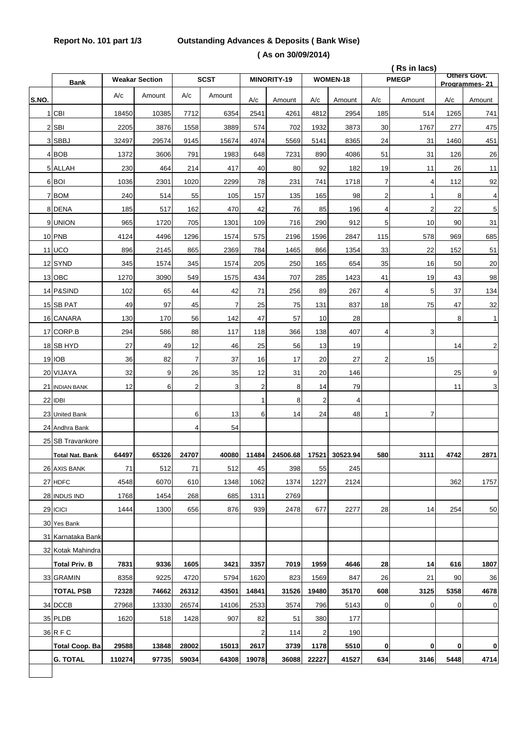## **Report No. 101 part 1/3 Outstanding Advances & Deposits ( Bank Wise) ( As on 30/09/2014)**

|       |                        | (Rs in lacs) |                       |          |             |                | Others Govt. |                  |          |                |                         |             |               |
|-------|------------------------|--------------|-----------------------|----------|-------------|----------------|--------------|------------------|----------|----------------|-------------------------|-------------|---------------|
|       | <b>Bank</b>            |              | <b>Weakar Section</b> |          | <b>SCST</b> |                | MINORITY-19  |                  | WOMEN-18 |                | <b>PMEGP</b>            |             | Programmes-21 |
| S.NO. |                        | A/c          | Amount                | A/c      | Amount      | A/c            | Amount       | A/c              | Amount   | A/c            | Amount                  | A/c         | Amount        |
|       | 1 CBI                  | 18450        | 10385                 | 7712     | 6354        | 2541           | 4261         | 4812             | 2954     | 185            | 514                     | 1265        | 741           |
|       | 2 SBI                  | 2205         | 3876                  | 1558     | 3889        | 574            | 702          | 1932             | 3873     | 30             | 1767                    | 277         | 475           |
|       | 3 SBBJ                 | 32497        | 29574                 | 9145     | 15674       | 4974           | 5569         | 5141             | 8365     | 24             | 31                      | 1460        | 451           |
|       | 4 BOB                  | 1372         | 3606                  | 791      | 1983        | 648            | 7231         | 890              | 4086     | 51             | 31                      | 126         | 26            |
|       | 5 ALLAH                | 230          | 464                   | 214      | 417         | 40             | 80           | 92               | 182      | 19             | 11                      | 26          | 11            |
|       | 6 BOI                  | 1036         | 2301                  | 1020     | 2299        | 78             | 231          | 741              | 1718     | $\overline{7}$ | 4                       | 112         | 92            |
|       | 7 BOM                  | 240          | 514                   | 55       | 105         | 157            | 135          | 165              | 98       | $\overline{c}$ | 1                       | 8           | 4             |
|       | 8 DENA                 | 185          | 517                   | 162      | 470         | 42             | 76           | 85               | 196      | $\overline{4}$ | $\overline{\mathbf{c}}$ | 22          | 5             |
|       | 9 UNION                | 965          | 1720                  | 705      | 1301        | 109            | 716          | 290              | 912      | 5 <sup>1</sup> | 10                      | 90          | 31            |
|       | 10 PNB                 | 4124         | 4496                  | 1296     | 1574        | 575            | 2196         | 1596             | 2847     | 115            | 578                     | 969         | 685           |
|       | <b>11 UCO</b>          | 896          | 2145                  | 865      | 2369        | 784            | 1465         | 866              | 1354     | 33             | 22                      | 152         | 51            |
|       | 12 SYND                | 345          | 1574                  | 345      | 1574        | 205            | 250          | 165              | 654      | 35             | 16                      | 50          | 20            |
|       | 13 OBC                 | 1270         | 3090                  | 549      | 1575        | 434            | 707          | 285              | 1423     | 41             | 19                      | 43          | 98            |
|       | 14 P&SIND              | 102          | 65                    | 44       | 42          | 71             | 256          | 89               | 267      | 4              | 5                       | 37          | 134           |
|       | 15 SB PAT              | 49           | 97                    | 45       | 7           | 25             | 75           | 131              | 837      | 18             | 75                      | 47          | 32            |
|       | 16 CANARA              | 130          | 170                   | 56       | 142         | 47             | 57           | 10               | 28       |                |                         | 8           | 1             |
|       | 17 CORP.B              | 294          | 586                   | 88       | 117         | 118            | 366          | 138              | 407      | 4              | 3                       |             |               |
|       | 18 SB HYD              | 27           | 49                    | 12       | 46          | 25             | 56           | 13               | 19       |                |                         | 14          | 2             |
|       | 19 IOB                 | 36           | 82                    | 7        | 37          | 16             | 17           | 20               | 27       | $\overline{2}$ | 15                      |             |               |
|       | 20 VIJAYA              | 32           | 9                     | 26       | 35          | 12             | 31           | 20               | 146      |                |                         | 25          | 9             |
|       | 21 INDIAN BANK         | 12           | 6                     | 2        | 3           | $\overline{c}$ | 8            | 14               | 79       |                |                         | 11          | 3             |
|       | 22 IDBI                |              |                       |          |             | 1              | 8            | $\overline{2}$   | 4        |                |                         |             |               |
|       | 23 United Bank         |              |                       | 6        | 13          | 6              | 14           | 24               | 48       | 1              | $\overline{7}$          |             |               |
|       | 24 Andhra Bank         |              |                       | 4        | 54          |                |              |                  |          |                |                         |             |               |
|       | 25 SB Travankore       |              |                       |          |             |                |              |                  |          |                |                         |             |               |
|       | <b>Total Nat. Bank</b> | 64497        | 65326                 | 24707    | 40080       | 11484          | 24506.68     | 17521            | 30523.94 | 580            | 3111                    | 4742        | 2871          |
|       | 26 AXIS BANK           | 71           | 512                   | $\bf 71$ | 512         | 45             | 398          | 55               | 245      |                |                         |             |               |
|       | 27 HDFC                | 4548         | 6070                  | 610      | 1348        | 1062           | 1374         | 1227             | 2124     |                |                         | 362         | 1757          |
|       | 28 INDUS IND           | 1768         | 1454                  | 268      | 685         | 1311           | 2769         |                  |          |                |                         |             |               |
|       | 29 ICICI               | 1444         | 1300                  | 656      | 876         | 939            | 2478         | 677              | 2277     | 28             | 14                      | 254         | 50            |
|       | 30 Yes Bank            |              |                       |          |             |                |              |                  |          |                |                         |             |               |
|       | 31 Karnataka Bank      |              |                       |          |             |                |              |                  |          |                |                         |             |               |
|       | 32 Kotak Mahindra      |              |                       |          |             |                |              |                  |          |                |                         |             |               |
|       | <b>Total Priv. B</b>   | 7831         | 9336                  | 1605     | 3421        | 3357           | 7019         | 1959             | 4646     | 28             | 14                      | 616         | 1807          |
|       | 33 GRAMIN              | 8358         | 9225                  | 4720     | 5794        | 1620           | 823          | 1569             | 847      | 26             | 21                      | 90          | 36            |
|       | <b>TOTAL PSB</b>       | 72328        | 74662                 | 26312    | 43501       | 14841          | 31526        | 19480            | 35170    | 608            | 3125                    | 5358        | 4678          |
|       | 34 DCCB                | 27968        | 13330                 | 26574    | 14106       | 2533           | 3574         | 796              | 5143     | $\mathbf 0$    | 0                       | $\mathbf 0$ | 0             |
|       | 35 PLDB                | 1620         | 518                   | 1428     | 907         | 82             | 51           | 380              | 177      |                |                         |             |               |
|       | 36 R F C               |              |                       |          |             | $\overline{2}$ | 114          | $\boldsymbol{2}$ | 190      |                |                         |             |               |
|       | Total Coop. Ba         | 29588        | 13848                 | 28002    | 15013       | 2617           | 3739         | 1178             | 5510     | $\mathbf{0}$   | 0                       | 0           | 0             |
|       | <b>G. TOTAL</b>        | 110274       | 97735                 | 59034    | 64308       | 19078          | 36088        | 22227            | 41527    | 634            | 3146                    | 5448        | 4714          |